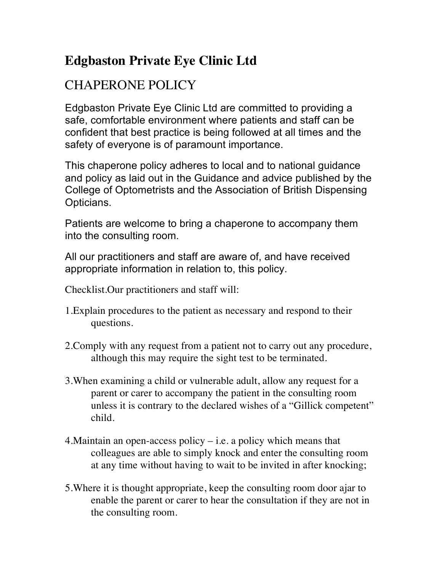## **Edgbaston Private Eye Clinic Ltd**

## CHAPERONE POLICY

Edgbaston Private Eye Clinic Ltd are committed to providing a safe, comfortable environment where patients and staff can be confident that best practice is being followed at all times and the safety of everyone is of paramount importance.

This chaperone policy adheres to local and to national guidance and policy as laid out in the Guidance and advice published by the College of Optometrists and the Association of British Dispensing Opticians.

Patients are welcome to bring a chaperone to accompany them into the consulting room.

All our practitioners and staff are aware of, and have received appropriate information in relation to, this policy.

Checklist.Our practitioners and staff will:

- 1.Explain procedures to the patient as necessary and respond to their questions.
- 2.Comply with any request from a patient not to carry out any procedure, although this may require the sight test to be terminated.
- 3.When examining a child or vulnerable adult, allow any request for a parent or carer to accompany the patient in the consulting room unless it is contrary to the declared wishes of a "Gillick competent" child.
- 4.Maintain an open-access policy i.e. a policy which means that colleagues are able to simply knock and enter the consulting room at any time without having to wait to be invited in after knocking;
- 5.Where it is thought appropriate, keep the consulting room door ajar to enable the parent or carer to hear the consultation if they are not in the consulting room.